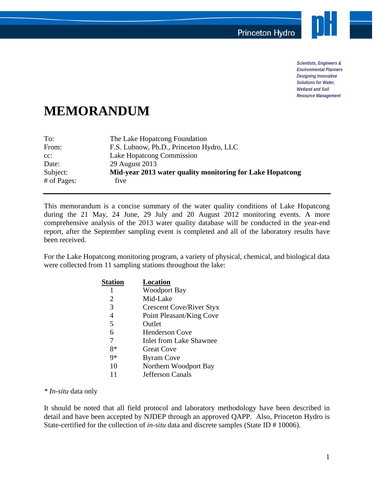

*Scientists, Engineers & Environmental Planners Designing Innovative Solutions for Water, Wetland and Soil Resource Management* 

## **MEMORANDUM**

| To:         | The Lake Hopatcong Foundation                             |
|-------------|-----------------------------------------------------------|
| From:       | F.S. Lubnow, Ph.D., Princeton Hydro, LLC                  |
| $cc$ :      | Lake Hopatcong Commission                                 |
| Date:       | 29 August 2013                                            |
| Subject:    | Mid-year 2013 water quality monitoring for Lake Hopatcong |
| # of Pages: | five                                                      |

This memorandum is a concise summary of the water quality conditions of Lake Hopatcong during the 21 May, 24 June, 29 July and 20 August 2012 monitoring events. A more comprehensive analysis of the 2013 water quality database will be conducted in the year-end report, after the September sampling event is completed and all of the laboratory results have been received.

For the Lake Hopatcong monitoring program, a variety of physical, chemical, and biological data were collected from 11 sampling stations throughout the lake:

| Station | Location                        |
|---------|---------------------------------|
|         | <b>Woodport Bay</b>             |
| 2       | Mid-Lake                        |
| 3       | <b>Crescent Cove/River Styx</b> |
| 4       | Point Pleasant/King Cove        |
| 5       | Outlet                          |
| 6       | <b>Henderson Cove</b>           |
| 7       | <b>Inlet from Lake Shawnee</b>  |
| 8*      | <b>Great Cove</b>               |
| Q∗      | <b>Byram Cove</b>               |
| 10      | Northern Woodport Bay           |
| 11      | Jefferson Canals                |

*\* In-situ* data only

It should be noted that all field protocol and laboratory methodology have been described in detail and have been accepted by NJDEP through an approved QAPP. Also, Princeton Hydro is State-certified for the collection of *in-situ* data and discrete samples (State ID # 10006).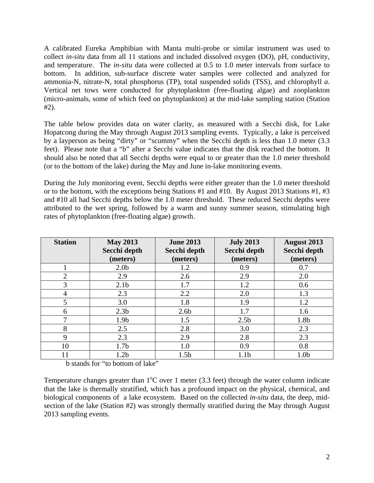A calibrated Eureka Amphibian with Manta multi-probe or similar instrument was used to collect *in-situ* data from all 11 stations and included dissolved oxygen (DO), pH, conductivity, and temperature. The *in-situ* data were collected at 0.5 to 1.0 meter intervals from surface to bottom. In addition, sub-surface discrete water samples were collected and analyzed for ammonia-N, nitrate-N, total phosphorus (TP), total suspended solids (TSS), and chlorophyll *a*. Vertical net tows were conducted for phytoplankton (free-floating algae) and zooplankton (micro-animals, some of which feed on phytoplankton) at the mid-lake sampling station (Station #2).

The table below provides data on water clarity, as measured with a Secchi disk, for Lake Hopatcong during the May through August 2013 sampling events. Typically, a lake is perceived by a layperson as being "dirty" or "scummy" when the Secchi depth is less than 1.0 meter (3.3 feet). Please note that a "b" after a Secchi value indicates that the disk reached the bottom. It should also be noted that all Secchi depths were equal to or greater than the 1.0 meter threshold (or to the bottom of the lake) during the May and June in-lake monitoring events.

During the July monitoring event, Secchi depths were either greater than the 1.0 meter threshold or to the bottom, with the exceptions being Stations #1 and #10. By August 2013 Stations #1, #3 and #10 all had Secchi depths below the 1.0 meter threshold. These reduced Secchi depths were attributed to the wet spring, followed by a warm and sunny summer season, stimulating high rates of phytoplankton (free-floating algae) growth.

| <b>Station</b> | <b>May 2013</b><br>Secchi depth | <b>June 2013</b><br>Secchi depth | <b>July 2013</b><br>Secchi depth | <b>August 2013</b><br>Secchi depth |
|----------------|---------------------------------|----------------------------------|----------------------------------|------------------------------------|
|                | (meters)                        | (meters)                         | (meters)                         | (meters)                           |
|                | 2.0 <sub>b</sub>                | 1.2                              | 0.9                              | 0.7                                |
| $\overline{2}$ | 2.9                             | 2.6                              | 2.9                              | 2.0                                |
| 3              | 2.1 <sub>b</sub>                | 1.7                              | 1.2                              | 0.6                                |
| 4              | 2.3                             | 2.2                              | 2.0                              | 1.3                                |
| 5              | 3.0                             | 1.8                              | 1.9                              | 1.2                                |
| 6              | 2.3 <sub>b</sub>                | 2.6 <sub>b</sub>                 | 1.7                              | 1.6                                |
| 7              | 1.9 <sub>b</sub>                | 1.5                              | 2.5 <sub>b</sub>                 | 1.8b                               |
| 8              | 2.5                             | 2.8                              | 3.0                              | 2.3                                |
| 9              | 2.3                             | 2.9                              | 2.8                              | 2.3                                |
| 10             | 1.7 <sub>b</sub>                | 1.0                              | 0.9                              | 0.8                                |
| 11             | 1.2 <sub>b</sub>                | 1.5 <sub>b</sub>                 | 1.1 <sub>b</sub>                 | 1.0 <sub>b</sub>                   |

b stands for "to bottom of lake"

Temperature changes greater than  $1^{\circ}$ C over 1 meter (3.3 feet) through the water column indicate that the lake is thermally stratified, which has a profound impact on the physical, chemical, and biological components of a lake ecosystem. Based on the collected *in-situ* data, the deep, midsection of the lake (Station #2) was strongly thermally stratified during the May through August 2013 sampling events.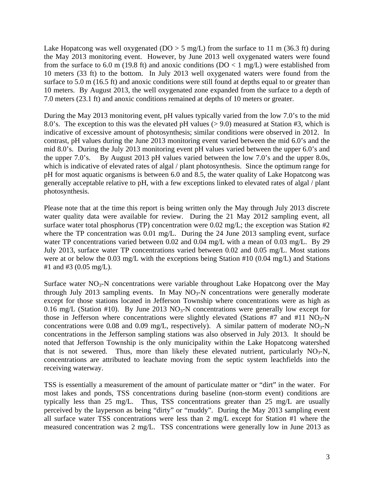Lake Hopatcong was well oxygenated ( $DO > 5$  mg/L) from the surface to 11 m (36.3 ft) during the May 2013 monitoring event. However, by June 2013 well oxygenated waters were found from the surface to 6.0 m (19.8 ft) and anoxic conditions ( $DO < 1$  mg/L) were established from 10 meters (33 ft) to the bottom. In July 2013 well oxygenated waters were found from the surface to 5.0 m (16.5 ft) and anoxic conditions were still found at depths equal to or greater than 10 meters. By August 2013, the well oxygenated zone expanded from the surface to a depth of 7.0 meters (23.1 ft) and anoxic conditions remained at depths of 10 meters or greater.

During the May 2013 monitoring event, pH values typically varied from the low 7.0's to the mid 8.0's. The exception to this was the elevated pH values (> 9.0) measured at Station #3, which is indicative of excessive amount of photosynthesis; similar conditions were observed in 2012. In contrast, pH values during the June 2013 monitoring event varied between the mid 6.0's and the mid 8.0's. During the July 2013 monitoring event pH values varied between the upper 6.0's and the upper 7.0's. By August 2013 pH values varied between the low 7.0's and the upper 8.0s, which is indicative of elevated rates of algal / plant photosynthesis. Since the optimum range for pH for most aquatic organisms is between 6.0 and 8.5, the water quality of Lake Hopatcong was generally acceptable relative to pH, with a few exceptions linked to elevated rates of algal / plant photosynthesis.

Please note that at the time this report is being written only the May through July 2013 discrete water quality data were available for review. During the 21 May 2012 sampling event, all surface water total phosphorus (TP) concentration were  $0.02 \text{ mg/L}$ ; the exception was Station #2 where the TP concentration was 0.01 mg/L. During the 24 June 2013 sampling event, surface water TP concentrations varied between 0.02 and 0.04 mg/L with a mean of 0.03 mg/L. By 29 July 2013, surface water TP concentrations varied between 0.02 and 0.05 mg/L. Most stations were at or below the 0.03 mg/L with the exceptions being Station #10 (0.04 mg/L) and Stations #1 and #3 (0.05 mg/L).

Surface water  $NO<sub>3</sub>-N$  concentrations were variable throughout Lake Hopatcong over the May through July 2013 sampling events. In May  $NO_3-N$  concentrations were generally moderate except for those stations located in Jefferson Township where concentrations were as high as 0.16 mg/L (Station #10). By June 2013  $NO<sub>3</sub>-N$  concentrations were generally low except for those in Jefferson where concentrations were slightly elevated (Stations #7 and #11  $NO<sub>3</sub>-N$ concentrations were 0.08 and 0.09 mg/L, respectively). A similar pattern of moderate  $NO<sub>3</sub>-N$ concentrations in the Jefferson sampling stations was also observed in July 2013. It should be noted that Jefferson Township is the only municipality within the Lake Hopatcong watershed that is not sewered. Thus, more than likely these elevated nutrient, particularly  $NO<sub>3</sub>-N$ , concentrations are attributed to leachate moving from the septic system leachfields into the receiving waterway.

TSS is essentially a measurement of the amount of particulate matter or "dirt" in the water. For most lakes and ponds, TSS concentrations during baseline (non-storm event) conditions are typically less than 25 mg/L. Thus, TSS concentrations greater than 25 mg/L are usually perceived by the layperson as being "dirty" or "muddy". During the May 2013 sampling event all surface water TSS concentrations were less than 2 mg/L except for Station #1 where the measured concentration was 2 mg/L. TSS concentrations were generally low in June 2013 as